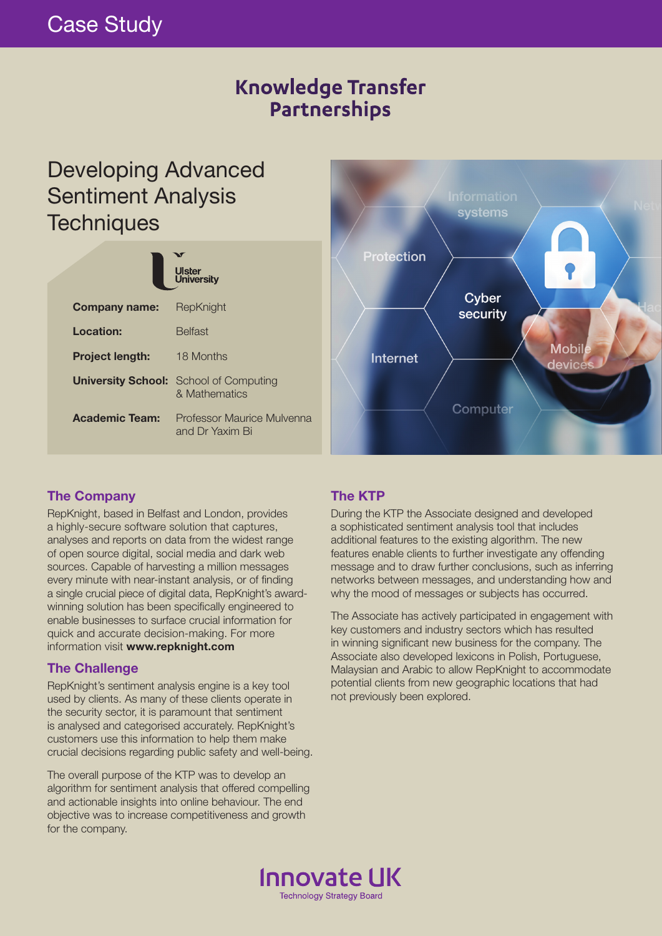# **Knowledge Transfer** Partnerships

# Developing Advanced Sentiment Analysis **Techniques**

| <b>U</b> ster<br><b>University</b> |                                                                |
|------------------------------------|----------------------------------------------------------------|
| <b>Company name:</b>               | RepKnight                                                      |
| Location:                          | <b>Belfast</b>                                                 |
| <b>Project length:</b>             | 18 Months                                                      |
|                                    | <b>University School:</b> School of Computing<br>& Mathematics |
| <b>Academic Team:</b>              | Professor Maurice Mulvenna<br>and Dr Yaxim Bi                  |



#### **The Company**

RepKnight, based in Belfast and London, provides a highly-secure software solution that captures, analyses and reports on data from the widest range of open source digital, social media and dark web sources. Capable of harvesting a million messages every minute with near-instant analysis, or of finding a single crucial piece of digital data, RepKnight's awardwinning solution has been specifically engineered to enable businesses to surface crucial information for quick and accurate decision-making. For more information visit **www.repknight.com**

#### **The Challenge**

RepKnight's sentiment analysis engine is a key tool used by clients. As many of these clients operate in the security sector, it is paramount that sentiment is analysed and categorised accurately. RepKnight's customers use this information to help them make crucial decisions regarding public safety and well-being.

The overall purpose of the KTP was to develop an algorithm for sentiment analysis that offered compelling and actionable insights into online behaviour. The end objective was to increase competitiveness and growth for the company.

### **The KTP**

During the KTP the Associate designed and developed a sophisticated sentiment analysis tool that includes additional features to the existing algorithm. The new features enable clients to further investigate any offending message and to draw further conclusions, such as inferring networks between messages, and understanding how and why the mood of messages or subjects has occurred.

The Associate has actively participated in engagement with key customers and industry sectors which has resulted in winning significant new business for the company. The Associate also developed lexicons in Polish, Portuguese, Malaysian and Arabic to allow RepKnight to accommodate potential clients from new geographic locations that had not previously been explored.